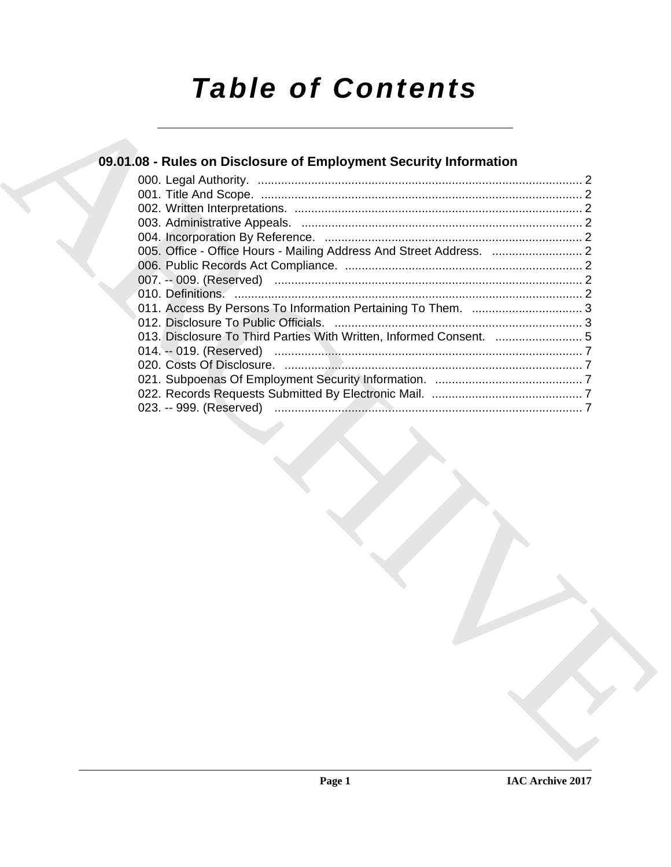# *Table of Contents*

## **09.01.08 - Rules on Disclosure of Employment Security Information**

| 09.01.08 - Rules on Disclosure of Employment Security Information   |  |
|---------------------------------------------------------------------|--|
|                                                                     |  |
|                                                                     |  |
|                                                                     |  |
|                                                                     |  |
|                                                                     |  |
|                                                                     |  |
|                                                                     |  |
|                                                                     |  |
|                                                                     |  |
|                                                                     |  |
| 013. Disclosure To Third Parties With Written, Informed Consent.  5 |  |
|                                                                     |  |
|                                                                     |  |
|                                                                     |  |
|                                                                     |  |
|                                                                     |  |
|                                                                     |  |
|                                                                     |  |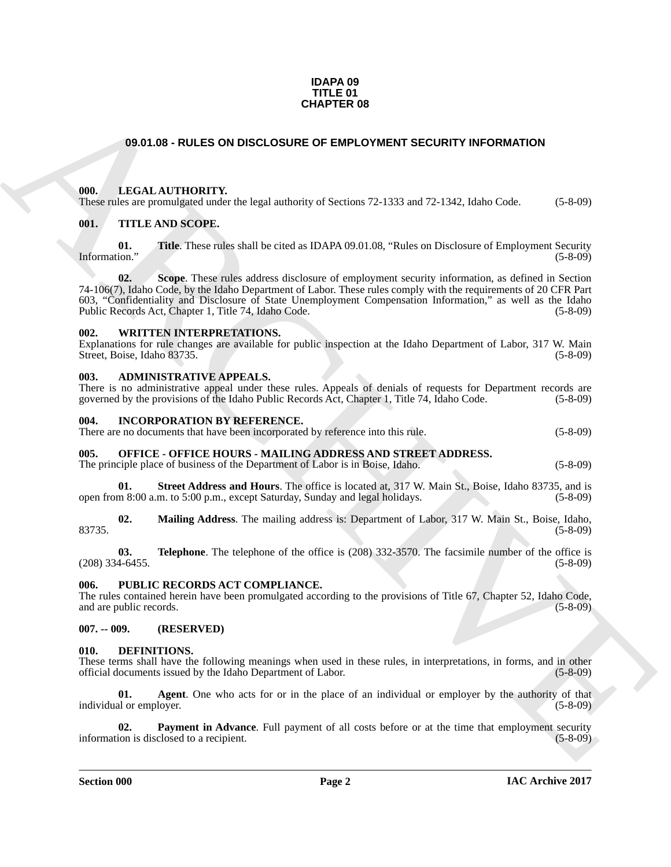### **IDAPA 09 TITLE 01 CHAPTER 08**

### <span id="page-1-0"></span>**09.01.08 - RULES ON DISCLOSURE OF EMPLOYMENT SECURITY INFORMATION**

### <span id="page-1-1"></span>**000. LEGAL AUTHORITY.**

These rules are promulgated under the legal authority of Sections 72-1333 and 72-1342, Idaho Code. (5-8-09)

### <span id="page-1-2"></span>**001. TITLE AND SCOPE.**

**01. Title**. These rules shall be cited as IDAPA 09.01.08, "Rules on Disclosure of Employment Security Information." (5-8-09)

**CHAPTER OB**<br> **CHAPTER OR OBSCLOSURE OF EMPLOYMENT SECURITY INFORMATION**<br> **CHAPTER CONDITY:** the legal authority of Section 72.1333 and 72.1342 halob Code. (5.8.09)<br> **CHAPTER CONDITY:** THE LAND SCOPE.<br> **CHAPTER TOWARD SCO 02.** Scope. These rules address disclosure of employment security information, as defined in Section 74-106(7), Idaho Code, by the Idaho Department of Labor. These rules comply with the requirements of 20 CFR Part 603, "Confidentiality and Disclosure of State Unemployment Compensation Information," as well as the Idaho Public Records Act, Chapter 1, Title 74, Idaho Code. (5-8-09)

### <span id="page-1-3"></span>**002. WRITTEN INTERPRETATIONS.**

Explanations for rule changes are available for public inspection at the Idaho Department of Labor, 317 W. Main Street, Boise, Idaho 83735. (5-8-09)

### <span id="page-1-4"></span>**003. ADMINISTRATIVE APPEALS.**

There is no administrative appeal under these rules. Appeals of denials of requests for Department records are governed by the provisions of the Idaho Public Records Act, Chapter 1, Title 74, Idaho Code. (5-8-09)

### <span id="page-1-5"></span>**004. INCORPORATION BY REFERENCE.**

There are no documents that have been incorporated by reference into this rule. (5-8-09)

### <span id="page-1-6"></span>**005. OFFICE - OFFICE HOURS - MAILING ADDRESS AND STREET ADDRESS.**

The principle place of business of the Department of Labor is in Boise, Idaho. (5-8-09)

**01.** Street Address and Hours. The office is located at, 317 W. Main St., Boise, Idaho 83735, and is m 8:00 a.m. to 5:00 p.m., except Saturday. Sunday and legal holidays. (5-8-09) open from 8:00 a.m. to 5:00 p.m., except Saturday, Sunday and legal holidays.

**02. Mailing Address**. The mailing address is: Department of Labor, 317 W. Main St., Boise, Idaho, 83735. (5-8-09)

**03. Telephone**. The telephone of the office is (208) 332-3570. The facsimile number of the office is (46455.  $(208)$  334-6455.

### <span id="page-1-7"></span>**006. PUBLIC RECORDS ACT COMPLIANCE.**

The rules contained herein have been promulgated according to the provisions of Title 67, Chapter 52, Idaho Code, and are public records. (5-8-09) and are public records.

<span id="page-1-8"></span>**007. -- 009. (RESERVED)**

### <span id="page-1-10"></span><span id="page-1-9"></span>**010. DEFINITIONS.**

These terms shall have the following meanings when used in these rules, in interpretations, in forms, and in other official documents issued by the Idaho Department of Labor. (5-8-09) official documents issued by the Idaho Department of Labor.

<span id="page-1-11"></span>**01. Agent**. One who acts for or in the place of an individual or employer by the authority of that individual or employer. (5-8-09)

<span id="page-1-12"></span>**02. Payment in Advance**. Full payment of all costs before or at the time that employment security ion is disclosed to a recipient. (5-8-09) information is disclosed to a recipient.

**Section 000 Page 2**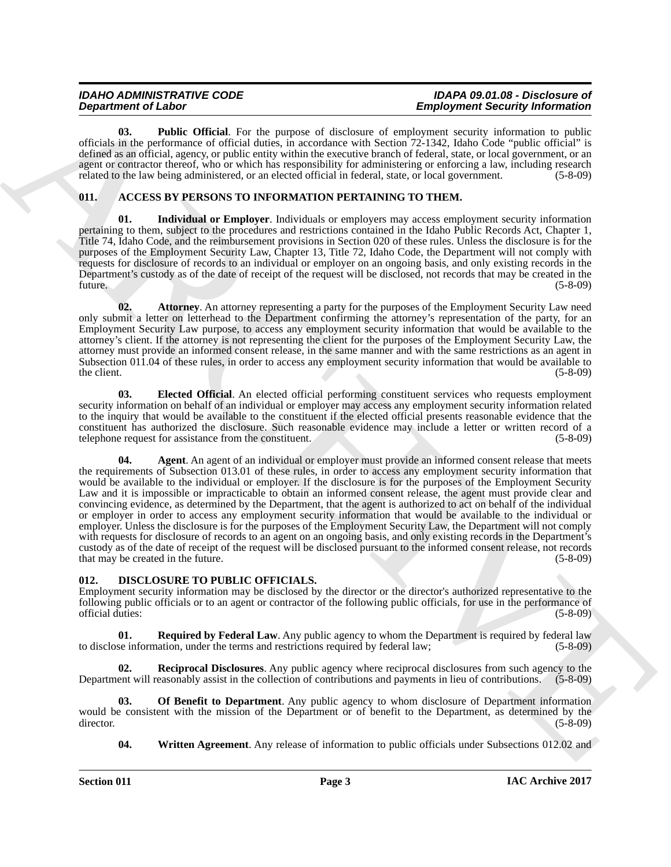| <b>IDAHO ADMINISTRATIVE CODE</b> | IDAPA 09.01.08 - Disclosure of         |
|----------------------------------|----------------------------------------|
| <b>Department of Labor</b>       | <b>Employment Security Information</b> |

<span id="page-2-7"></span>**03. Public Official**. For the purpose of disclosure of employment security information to public officials in the performance of official duties, in accordance with Section 72-1342, Idaho Code "public official" is defined as an official, agency, or public entity within the executive branch of federal, state, or local government, or an agent or contractor thereof, who or which has responsibility for administering or enforcing a law, including research related to the law being administered, or an elected official in federal, state, or local government. (5-8-09)

### <span id="page-2-2"></span><span id="page-2-0"></span>**011. ACCESS BY PERSONS TO INFORMATION PERTAINING TO THEM.**

<span id="page-2-6"></span>**01. Individual or Employer**. Individuals or employers may access employment security information pertaining to them, subject to the procedures and restrictions contained in the Idaho Public Records Act, Chapter 1, Title 74, Idaho Code, and the reimbursement provisions in Section 020 of these rules. Unless the disclosure is for the purposes of the Employment Security Law, Chapter 13, Title 72, Idaho Code, the Department will not comply with requests for disclosure of records to an individual or employer on an ongoing basis, and only existing records in the Department's custody as of the date of receipt of the request will be disclosed, not records that may be created in the future. (5-8-09)

<span id="page-2-4"></span>**02. Attorney**. An attorney representing a party for the purposes of the Employment Security Law need only submit a letter on letterhead to the Department confirming the attorney's representation of the party, for an Employment Security Law purpose, to access any employment security information that would be available to the attorney's client. If the attorney is not representing the client for the purposes of the Employment Security Law, the attorney must provide an informed consent release, in the same manner and with the same restrictions as an agent in Subsection 011.04 of these rules, in order to access any employment security information that would be available to the client. (5-8-09) the client.  $(5-8-09)$ 

<span id="page-2-5"></span><span id="page-2-3"></span>**03. Elected Official**. An elected official performing constituent services who requests employment security information on behalf of an individual or employer may access any employment security information related to the inquiry that would be available to the constituent if the elected official presents reasonable evidence that the constituent has authorized the disclosure. Such reasonable evidence may include a letter or written record of a telephone request for assistance from the constituent. (5-8-09) telephone request for assistance from the constituent.

**Expansion of Lies Channel Control is the system of the system of the system of Control interaction of Lies Channel Control interaction in the system of Control interaction in the system of Control interaction in the syst 04. Agent**. An agent of an individual or employer must provide an informed consent release that meets the requirements of Subsection 013.01 of these rules, in order to access any employment security information that would be available to the individual or employer. If the disclosure is for the purposes of the Employment Security Law and it is impossible or impracticable to obtain an informed consent release, the agent must provide clear and convincing evidence, as determined by the Department, that the agent is authorized to act on behalf of the individual or employer in order to access any employment security information that would be available to the individual or employer. Unless the disclosure is for the purposes of the Employment Security Law, the Department will not comply with requests for disclosure of records to an agent on an ongoing basis, and only existing records in the Department's custody as of the date of receipt of the request will be disclosed pursuant to the informed consent release, not records that may be created in the future.

### <span id="page-2-8"></span><span id="page-2-1"></span>**012. DISCLOSURE TO PUBLIC OFFICIALS.**

Employment security information may be disclosed by the director or the director's authorized representative to the following public officials or to an agent or contractor of the following public officials, for use in the performance of official duties: (5-8-09) official duties:

<span id="page-2-11"></span>**01. Required by Federal Law**. Any public agency to whom the Department is required by federal law to disclose information, under the terms and restrictions required by federal law; (5-8-09)

<span id="page-2-10"></span>**02. Reciprocal Disclosures**. Any public agency where reciprocal disclosures from such agency to the Department will reasonably assist in the collection of contributions and payments in lieu of contributions. (5-8-09)

**03. Of Benefit to Department**. Any public agency to whom disclosure of Department information would be consistent with the mission of the Department or of benefit to the Department, as determined by the director. (5-8-09) director. (5-8-09)

<span id="page-2-12"></span><span id="page-2-9"></span>**04.** Written Agreement. Any release of information to public officials under Subsections 012.02 and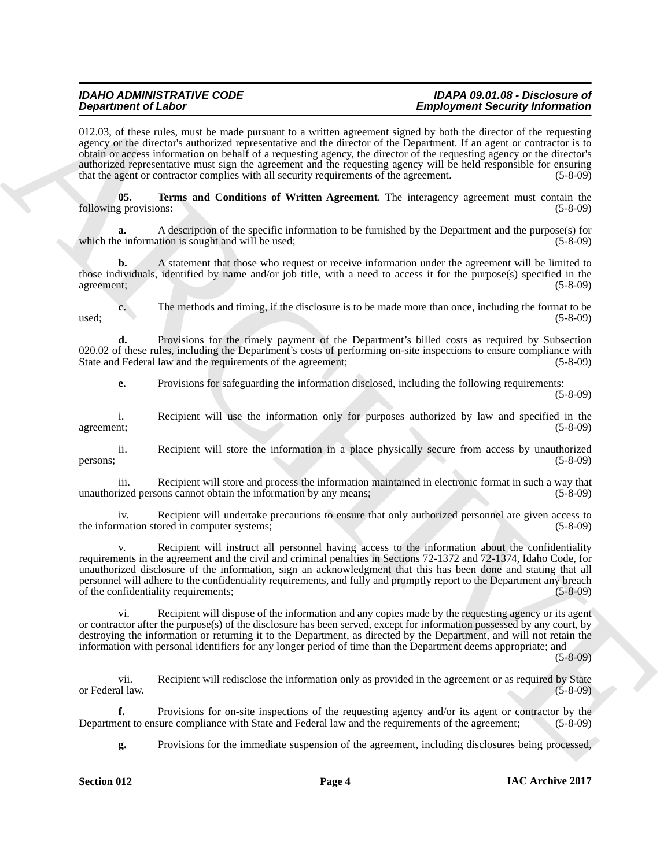### *IDAHO ADMINISTRATIVE CODE IDAPA 09.01.08 - Disclosure of Employment Security Information*

012.03, of these rules, must be made pursuant to a written agreement signed by both the director of the requesting agency or the director's authorized representative and the director of the Department. If an agent or contractor is to obtain or access information on behalf of a requesting agency, the director of the requesting agency or the director's authorized representative must sign the agreement and the requesting agency will be held responsible for ensuring that the agent or contractor complies with all security requirements of the agreement. (5-8-09)

<span id="page-3-0"></span>**05. Terms and Conditions of Written Agreement**. The interagency agreement must contain the following provisions: (5-8-09)

**a.** A description of the specific information to be furnished by the Department and the purpose(s) for which the information is sought and will be used;

**b.** A statement that those who request or receive information under the agreement will be limited to those individuals, identified by name and/or job title, with a need to access it for the purpose(s) specified in the agreement; (5-8-09)

**c.** The methods and timing, if the disclosure is to be made more than once, including the format to be (5-8-09)  $used;$  (5-8-09)

**d.** Provisions for the timely payment of the Department's billed costs as required by Subsection 020.02 of these rules, including the Department's costs of performing on-site inspections to ensure compliance with State and Federal law and the requirements of the agreement; (5-8-09) State and Federal law and the requirements of the agreement;

**e.** Provisions for safeguarding the information disclosed, including the following requirements: (5-8-09)

i. Recipient will use the information only for purposes authorized by law and specified in the agreement; (5-8-09)

ii. Recipient will store the information in a place physically secure from access by unauthorized  $p$ ersons; (5-8-09)

iii. Recipient will store and process the information maintained in electronic format in such a way that unauthorized persons cannot obtain the information by any means; (5-8-09)

iv. Recipient will undertake precautions to ensure that only authorized personnel are given access to mation stored in computer systems: (5-8-09) the information stored in computer systems;

**Experimental Example 2** the state of the state of the state of the state of the state of the state of the state of the state of the state of the state of the state of the state of the state of the state of the state of t Recipient will instruct all personnel having access to the information about the confidentiality requirements in the agreement and the civil and criminal penalties in Sections 72-1372 and 72-1374, Idaho Code, for unauthorized disclosure of the information, sign an acknowledgment that this has been done and stating that all personnel will adhere to the confidentiality requirements, and fully and promptly report to the Department any breach of the confidentiality requirements; (5-8-09)

vi. Recipient will dispose of the information and any copies made by the requesting agency or its agent or contractor after the purpose(s) of the disclosure has been served, except for information possessed by any court, by destroying the information or returning it to the Department, as directed by the Department, and will not retain the information with personal identifiers for any longer period of time than the Department deems appropriate; and

(5-8-09)

vii. Recipient will redisclose the information only as provided in the agreement or as required by State or Federal law. (5-8-09)

**f.** Provisions for on-site inspections of the requesting agency and/or its agent or contractor by the ent to ensure compliance with State and Federal law and the requirements of the agreement; (5-8-09) Department to ensure compliance with State and Federal law and the requirements of the agreement;

**g.** Provisions for the immediate suspension of the agreement, including disclosures being processed,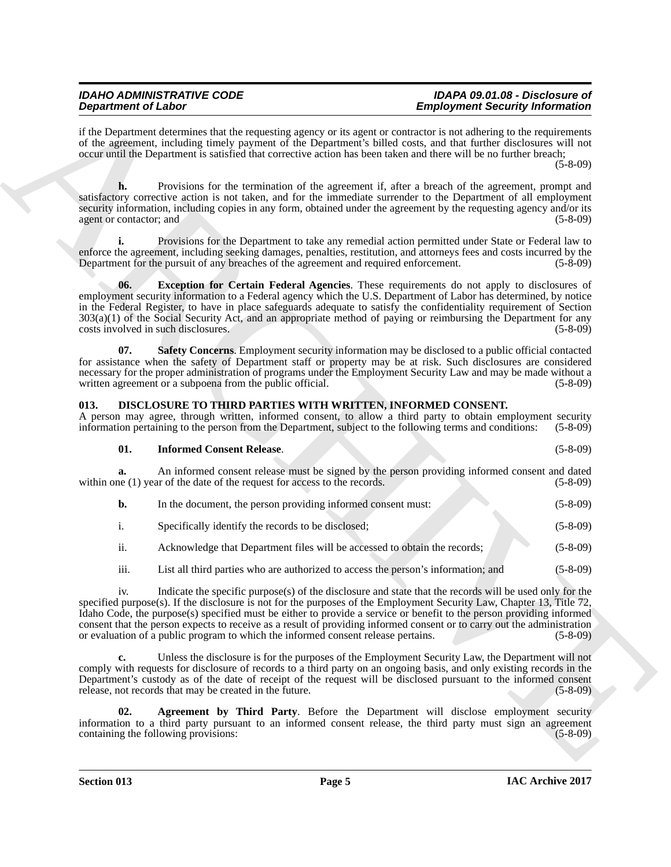### *IDAHO ADMINISTRATIVE CODE IDAPA 09.01.08 - Disclosure of Employment Security Information*

if the Department determines that the requesting agency or its agent or contractor is not adhering to the requirements of the agreement, including timely payment of the Department's billed costs, and that further disclosures will not occur until the Department is satisfied that corrective action has been taken and there will be no further breach;

(5-8-09)

**h.** Provisions for the termination of the agreement if, after a breach of the agreement, prompt and satisfactory corrective action is not taken, and for the immediate surrender to the Department of all employment security information, including copies in any form, obtained under the agreement by the requesting agency and/or its agent or contactor; and (5-8-09) (5-8-09)

<span id="page-4-1"></span>**i.** Provisions for the Department to take any remedial action permitted under State or Federal law to enforce the agreement, including seeking damages, penalties, restitution, and attorneys fees and costs incurred by the Department for the pursuit of any breaches of the agreement and required enforcement. (5-8-09) Department for the pursuit of any breaches of the agreement and required enforcement.

**Dependent of Likelar China that be two stating support of the superior of European China the Superior China the Superior China the Superior China the Superior China the Superior China the Superior China the Superior Chin 06. Exception for Certain Federal Agencies**. These requirements do not apply to disclosures of employment security information to a Federal agency which the U.S. Department of Labor has determined, by notice in the Federal Register, to have in place safeguards adequate to satisfy the confidentiality requirement of Section 303(a)(1) of the Social Security Act, and an appropriate method of paying or reimbursing the Department for any costs involved in such disclosures. (5-8-09)

<span id="page-4-2"></span>**07. Safety Concerns**. Employment security information may be disclosed to a public official contacted for assistance when the safety of Department staff or property may be at risk. Such disclosures are considered necessary for the proper administration of programs under the Employment Security Law and may be made without a written agreement or a subpoena from the public official. (5-8-09)

### <span id="page-4-3"></span><span id="page-4-0"></span>**013. DISCLOSURE TO THIRD PARTIES WITH WRITTEN, INFORMED CONSENT.**

A person may agree, through written, informed consent, to allow a third party to obtain employment security information pertaining to the person from the Department, subject to the following terms and conditions: (5-8-09) information pertaining to the person from the Department, subject to the following terms and conditions:

<span id="page-4-5"></span>

| <b>Informed Consent Release.</b> |  | $(5-8-09)$ |
|----------------------------------|--|------------|
|                                  |  |            |

**a.** An informed consent release must be signed by the person providing informed consent and dated the (1) year of the date of the request for access to the records. (5-8-09) within one  $(1)$  year of the date of the request for access to the records.

|  | In the document, the person providing informed consent must: | $(5-8-09)$ |
|--|--------------------------------------------------------------|------------|
|--|--------------------------------------------------------------|------------|

- i. Specifically identify the records to be disclosed; (5-8-09)
- ii. Acknowledge that Department files will be accessed to obtain the records; (5-8-09)
- iii. List all third parties who are authorized to access the person's information; and (5-8-09)

iv. Indicate the specific purpose(s) of the disclosure and state that the records will be used only for the specified purpose(s). If the disclosure is not for the purposes of the Employment Security Law, Chapter 13, Title 72, Idaho Code, the purpose(s) specified must be either to provide a service or benefit to the person providing informed consent that the person expects to receive as a result of providing informed consent or to carry out the administration or evaluation of a public program to which the informed consent release pertains. (5-8-09)

**c.** Unless the disclosure is for the purposes of the Employment Security Law, the Department will not comply with requests for disclosure of records to a third party on an ongoing basis, and only existing records in the Department's custody as of the date of receipt of the request will be disclosed pursuant to the informed consent release, not records that may be created in the future. (5-8-09)

<span id="page-4-4"></span>**02. Agreement by Third Party**. Before the Department will disclose employment security information to a third party pursuant to an informed consent release, the third party must sign an agreement containing the following provisions: (5-8-09) containing the following provisions: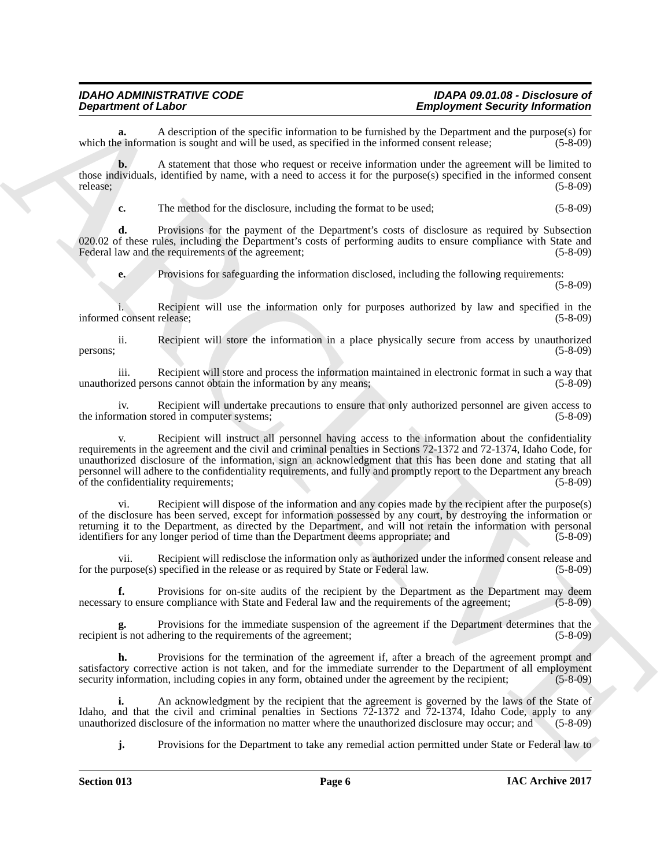**a.** A description of the specific information to be furnished by the Department and the purpose(s) for e information is sought and will be used, as specified in the informed consent release: (5-8-09) which the information is sought and will be used, as specified in the informed consent release;

**b.** A statement that those who request or receive information under the agreement will be limited to those individuals, identified by name, with a need to access it for the purpose(s) specified in the informed consent release; (5-8-09) release; (5-8-09)

**c.** The method for the disclosure, including the format to be used; (5-8-09)

**d.** Provisions for the payment of the Department's costs of disclosure as required by Subsection 020.02 of these rules, including the Department's costs of performing audits to ensure compliance with State and Federal law and the requirements of the agreement; (5-8-09) Federal law and the requirements of the agreement;

**e.** Provisions for safeguarding the information disclosed, including the following requirements:

(5-8-09)

Recipient will use the information only for purposes authorized by law and specified in the release: (5-8-09) informed consent release;

ii. Recipient will store the information in a place physically secure from access by unauthorized persons; (5-8-09)

iii. Recipient will store and process the information maintained in electronic format in such a way that ized persons cannot obtain the information by any means; (5-8-09) unauthorized persons cannot obtain the information by any means;

iv. Recipient will undertake precautions to ensure that only authorized personnel are given access to mation stored in computer systems; (5-8-09) the information stored in computer systems;

**Department of Laboration and Laboration and European Section 19. Suppose the state of the state of the state of the state of the state of the state of the state of the state of the state of the state of the state of the** Recipient will instruct all personnel having access to the information about the confidentiality requirements in the agreement and the civil and criminal penalties in Sections 72-1372 and 72-1374, Idaho Code, for unauthorized disclosure of the information, sign an acknowledgment that this has been done and stating that all personnel will adhere to the confidentiality requirements, and fully and promptly report to the Department any breach of the confidentiality requirements; (5-8-09)

vi. Recipient will dispose of the information and any copies made by the recipient after the purpose(s) of the disclosure has been served, except for information possessed by any court, by destroying the information or returning it to the Department, as directed by the Department, and will not retain the information with personal identifiers for any longer period of time than the Department deems appropriate; and (5-8-09)

vii. Recipient will redisclose the information only as authorized under the informed consent release and for the purpose(s) specified in the release or as required by State or Federal law. (5-8-09)

**f.** Provisions for on-site audits of the recipient by the Department as the Department may deem y to ensure compliance with State and Federal law and the requirements of the agreement; (5-8-09) necessary to ensure compliance with State and Federal law and the requirements of the agreement;

Provisions for the immediate suspension of the agreement if the Department determines that the hering to the requirements of the agreement: (5-8-09) recipient is not adhering to the requirements of the agreement;

**h.** Provisions for the termination of the agreement if, after a breach of the agreement prompt and satisfactory corrective action is not taken, and for the immediate surrender to the Department of all employment security information, including copies in any form, obtained under the agreement by the recipient; (5-8-09) security information, including copies in any form, obtained under the agreement by the recipient;

**i.** An acknowledgment by the recipient that the agreement is governed by the laws of the State of Idaho, and that the civil and criminal penalties in Sections 72-1372 and 72-1374, Idaho Code, apply to any unauthorized disclosure of the information no matter where the unauthorized disclosure may occur; and (5-8-09)

**j.** Provisions for the Department to take any remedial action permitted under State or Federal law to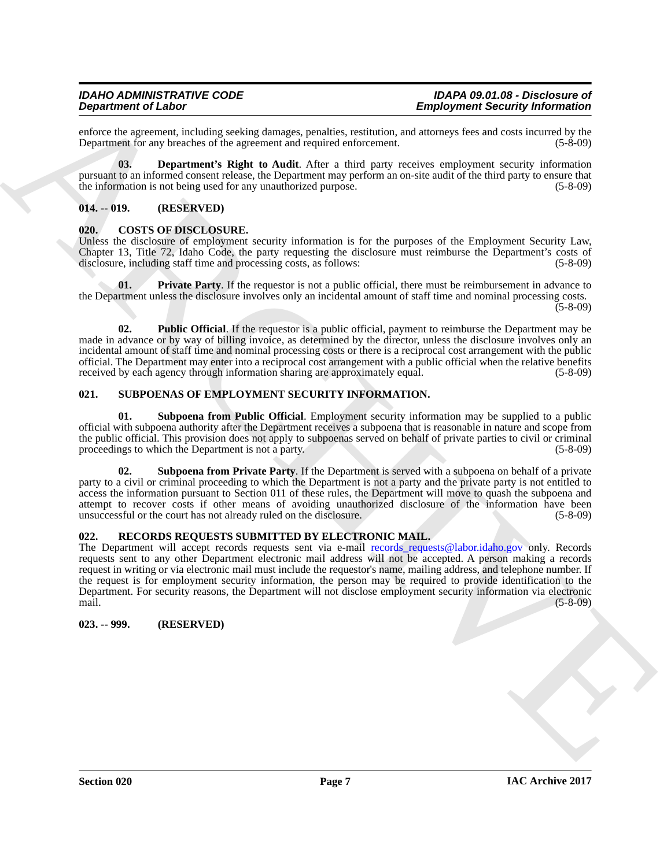enforce the agreement, including seeking damages, penalties, restitution, and attorneys fees and costs incurred by the Department for any breaches of the agreement and required enforcement. (5-8-09) Department for any breaches of the agreement and required enforcement.

<span id="page-6-8"></span>**03. Department's Right to Audit**. After a third party receives employment security information pursuant to an informed consent release, the Department may perform an on-site audit of the third party to ensure that the information is not being used for any unauthorized purpose. (5-8-09) (5-8-09)

### <span id="page-6-0"></span>**014. -- 019. (RESERVED)**

### <span id="page-6-5"></span><span id="page-6-1"></span>**020. COSTS OF DISCLOSURE.**

Unless the disclosure of employment security information is for the purposes of the Employment Security Law, Chapter 13, Title 72, Idaho Code, the party requesting the disclosure must reimburse the Department's costs of disclosure, including staff time and processing costs, as follows:

<span id="page-6-6"></span>**01.** Private Party. If the requestor is not a public official, there must be reimbursement in advance to the Department unless the disclosure involves only an incidental amount of staff time and nominal processing costs.  $(5-8-09)$ 

<span id="page-6-7"></span>**02. Public Official**. If the requestor is a public official, payment to reimburse the Department may be made in advance or by way of billing invoice, as determined by the director, unless the disclosure involves only an incidental amount of staff time and nominal processing costs or there is a reciprocal cost arrangement with the public official. The Department may enter into a reciprocal cost arrangement with a public official when the relative benefits received by each agency through information sharing are approximately equal.

### <span id="page-6-2"></span>**021. SUBPOENAS OF EMPLOYMENT SECURITY INFORMATION.**

<span id="page-6-11"></span>**01. Subpoena from Public Official**. Employment security information may be supplied to a public official with subpoena authority after the Department receives a subpoena that is reasonable in nature and scope from the public official. This provision does not apply to subpoenas served on behalf of private parties to civil or criminal proceedings to which the Department is not a party. (5-8-09) proceedings to which the Department is not a party.

<span id="page-6-10"></span>**02. Subpoena from Private Party**. If the Department is served with a subpoena on behalf of a private party to a civil or criminal proceeding to which the Department is not a party and the private party is not entitled to access the information pursuant to Section 011 of these rules, the Department will move to quash the subpoena and attempt to recover costs if other means of avoiding unauthorized disclosure of the information have been<br>unsuccessful or the court has not already ruled on the disclosure. (5-8-09) unsuccessful or the court has not already ruled on the disclosure. (5-8-09)

### <span id="page-6-9"></span><span id="page-6-3"></span>**022. RECORDS REQUESTS SUBMITTED BY ELECTRONIC MAIL.**

**Experiment of Laboration Constrainers** (Enginesian Scaling and **Enginesian Scaling and Scaling Archives** (Enginesian Scaling and Scaling and Scaling and Scaling and Scaling and Scaling and Scaling and Scaling and Scaling The Department will accept records requests sent via e-mail records\_requests@labor.idaho.gov only. Records requests sent to any other Department electronic mail address will not be accepted. A person making a records request in writing or via electronic mail must include the requestor's name, mailing address, and telephone number. If the request is for employment security information, the person may be required to provide identification to the Department. For security reasons, the Department will not disclose employment security information via electronic mail. (5-8-09)

<span id="page-6-4"></span>**023. -- 999. (RESERVED)**